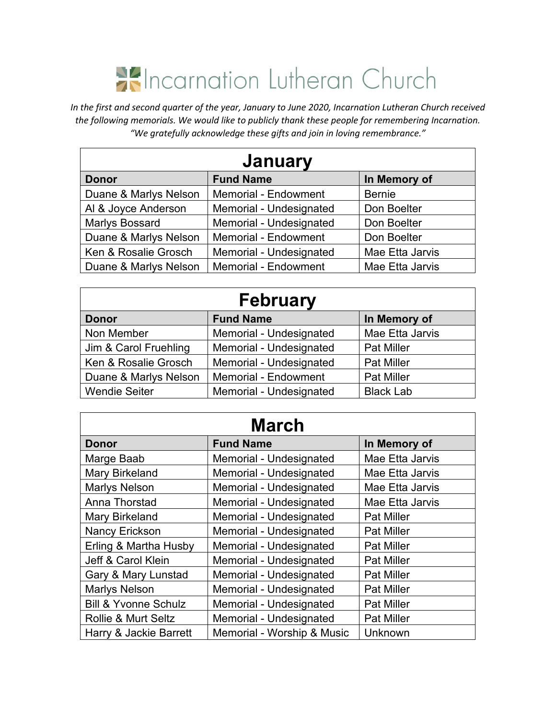## **K**Incarnation Lutheran Church

*In the first and second quarter of the year, January to June 2020, Incarnation Lutheran Church received the following memorials. We would like to publicly thank these people for remembering Incarnation. "We gratefully acknowledge these gifts and join in loving remembrance."*

| <b>January</b>        |                             |                 |
|-----------------------|-----------------------------|-----------------|
| <b>Donor</b>          | <b>Fund Name</b>            | In Memory of    |
| Duane & Marlys Nelson | <b>Memorial - Endowment</b> | <b>Bernie</b>   |
| Al & Joyce Anderson   | Memorial - Undesignated     | Don Boelter     |
| Marlys Bossard        | Memorial - Undesignated     | Don Boelter     |
| Duane & Marlys Nelson | <b>Memorial - Endowment</b> | Don Boelter     |
| Ken & Rosalie Grosch  | Memorial - Undesignated     | Mae Etta Jarvis |
| Duane & Marlys Nelson | Memorial - Endowment        | Mae Etta Jarvis |

| <b>February</b>       |                             |                   |  |
|-----------------------|-----------------------------|-------------------|--|
| <b>Donor</b>          | <b>Fund Name</b>            | In Memory of      |  |
| Non Member            | Memorial - Undesignated     | Mae Etta Jarvis   |  |
| Jim & Carol Fruehling | Memorial - Undesignated     | <b>Pat Miller</b> |  |
| Ken & Rosalie Grosch  | Memorial - Undesignated     | <b>Pat Miller</b> |  |
| Duane & Marlys Nelson | <b>Memorial - Endowment</b> | <b>Pat Miller</b> |  |
| <b>Wendie Seiter</b>  | Memorial - Undesignated     | <b>Black Lab</b>  |  |

## **March**

| <b>Donor</b>                    | <b>Fund Name</b>           | In Memory of      |
|---------------------------------|----------------------------|-------------------|
| Marge Baab                      | Memorial - Undesignated    | Mae Etta Jarvis   |
| <b>Mary Birkeland</b>           | Memorial - Undesignated    | Mae Etta Jarvis   |
| <b>Marlys Nelson</b>            | Memorial - Undesignated    | Mae Etta Jarvis   |
| Anna Thorstad                   | Memorial - Undesignated    | Mae Etta Jarvis   |
| Mary Birkeland                  | Memorial - Undesignated    | <b>Pat Miller</b> |
| Nancy Erickson                  | Memorial - Undesignated    | <b>Pat Miller</b> |
| Erling & Martha Husby           | Memorial - Undesignated    | <b>Pat Miller</b> |
| Jeff & Carol Klein              | Memorial - Undesignated    | <b>Pat Miller</b> |
| Gary & Mary Lunstad             | Memorial - Undesignated    | <b>Pat Miller</b> |
| <b>Marlys Nelson</b>            | Memorial - Undesignated    | <b>Pat Miller</b> |
| <b>Bill &amp; Yvonne Schulz</b> | Memorial - Undesignated    | <b>Pat Miller</b> |
| Rollie & Murt Seltz             | Memorial - Undesignated    | <b>Pat Miller</b> |
| Harry & Jackie Barrett          | Memorial - Worship & Music | Unknown           |